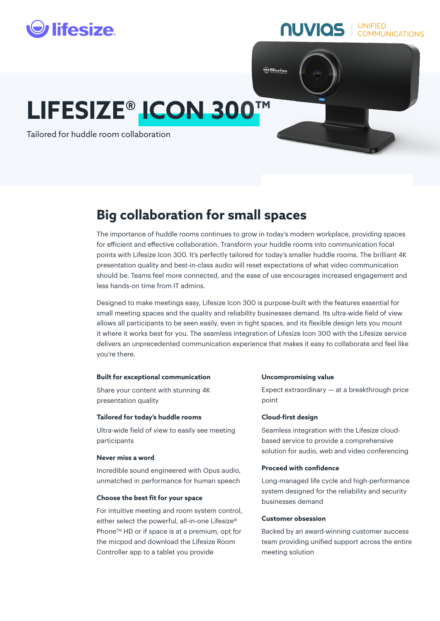

# **NUVIOS** COMMUNICATIONS

# **LIFESIZE® ICON 300™**

Tailored for huddle room collaboration

# **Big collaboration for small spaces**

The importance of huddle rooms continues to grow in today's modern workplace, providing spaces for efficient and effective collaboration. Transform your huddle rooms into communication focal points with Lifesize Icon 300. It's perfectly tailored for today's smaller huddle rooms. The brilliant 4K presentation quality and best-in-class audio will reset expectations of what video communication should be. Teams feel more connected, and the ease of use encourages increased engagement and less hands-on time from IT admins.

**O**lifesize

Designed to make meetings easy, Lifesize Icon 300 is purpose-built with the features essential for small meeting spaces and the quality and reliability businesses demand. Its ultra-wide field of view allows all participants to be seen easily, even in tight spaces, and its flexible design lets you mount it where it works best for you. The seamless integration of Lifesize Icon 300 with the Lifesize service delivers an unprecedented communication experience that makes it easy to collaborate and feel like you're there.

#### **Built for exceptional communication**

Share your content with stunning 4K presentation quality

#### **Tailored for today's huddle rooms**

Ultra-wide field of view to easily see meeting participants

#### **Never miss a word**

Incredible sound engineered with Opus audio, unmatched in performance for human speech

## **Choose the best fit for your space**

For intuitive meeting and room system control, either select the powerful, all-in-one Lifesize® Phone<sup>™</sup> HD or if space is at a premium, opt for the micpod and download the Lifesize Room Controller app to a tablet you provide

#### **Uncompromising value**

Expect extraordinary — at a breakthrough price point

#### **Cloud-first design**

Seamless integration with the Lifesize cloudbased service to provide a comprehensive solution for audio, web and video conferencing

#### **Proceed with confidence**

Long-managed life cycle and high-performance system designed for the reliability and security businesses demand

# **Customer obsession**

Backed by an award-winning customer success team providing unified support across the entire meeting solution